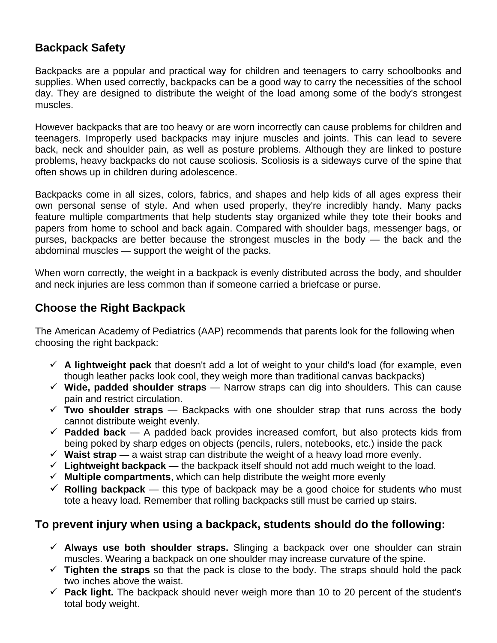## **Backpack Safety**

Backpacks are a popular and practical way for children and teenagers to carry schoolbooks and supplies. When used correctly, backpacks can be a good way to carry the necessities of the school day. They are designed to distribute the weight of the load among some of the body's strongest muscles.

However backpacks that are too heavy or are worn incorrectly can cause problems for children and teenagers. Improperly used backpacks may injure muscles and joints. This can lead to severe back, neck and shoulder pain, as well as posture problems. Although they are linked to posture problems, heavy backpacks do not cause scoliosis. Scoliosis is a sideways curve of the spine that often shows up in children during adolescence.

Backpacks come in all sizes, colors, fabrics, and shapes and help kids of all ages express their own personal sense of style. And when used properly, they're incredibly handy. Many packs feature multiple compartments that help students stay organized while they tote their books and papers from home to school and back again. Compared with shoulder bags, messenger bags, or purses, backpacks are better because the strongest muscles in the body — the back and the abdominal muscles — support the weight of the packs.

When worn correctly, the weight in a backpack is evenly distributed across the body, and shoulder and neck injuries are less common than if someone carried a briefcase or purse.

## **Choose the Right Backpack**

The American Academy of Pediatrics (AAP) recommends that parents look for the following when choosing the right backpack:

- $\checkmark$  A lightweight pack that doesn't add a lot of weight to your child's load (for example, even though leather packs look cool, they weigh more than traditional canvas backpacks)
- 9 **Wide, padded shoulder straps** Narrow straps can dig into shoulders. This can cause pain and restrict circulation.
- $\checkmark$  Two shoulder straps  $-$  Backpacks with one shoulder strap that runs across the body cannot distribute weight evenly.
- $\checkmark$  **Padded back** A padded back provides increased comfort, but also protects kids from being poked by sharp edges on objects (pencils, rulers, notebooks, etc.) inside the pack
- $\checkmark$  Waist strap a waist strap can distribute the weight of a heavy load more evenly.
- $\checkmark$  Lightweight backpack the backpack itself should not add much weight to the load.
- $\checkmark$  **Multiple compartments**, which can help distribute the weight more evenly
- $\checkmark$  Rolling backpack this type of backpack may be a good choice for students who must tote a heavy load. Remember that rolling backpacks still must be carried up stairs.

## **To prevent injury when using a backpack, students should do the following:**

- $\checkmark$  Always use both shoulder straps. Slinging a backpack over one shoulder can strain muscles. Wearing a backpack on one shoulder may increase curvature of the spine.
- $\checkmark$  Tighten the straps so that the pack is close to the body. The straps should hold the pack two inches above the waist.
- $\checkmark$  **Pack light.** The backpack should never weigh more than 10 to 20 percent of the student's total body weight.